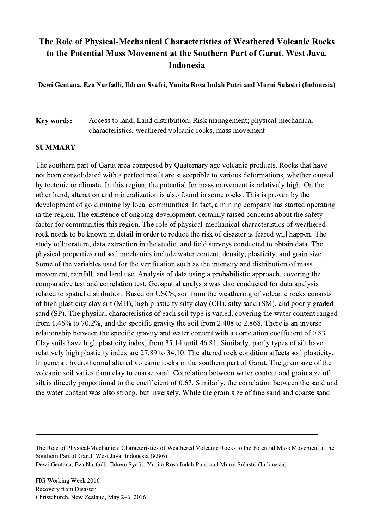## The Role of Physical-Mechanical Characteristics of Weathered Volcanic Rocks to the Potential Mass Movement at the Southern Part of Garut, West Java, Indonesia

Dewi Gentana, Eza Nurfadli, Ildrem Syafri, Yunita Rosa Indah Putri and Murni Sulastri (Indonesia)

Key words: Access to land; Land distribution; Risk management; physical-mechanical characteristics, weathered volcanic rocks, mass movement

## **SUMMARY**

The southern part of Garut area composed by Quaternary age volcanic products. Rocks that have not been consolidated with a perfect result are susceptible to various deformations, whether caused by tectonic or climate. In this region, the potential for mass movement is relatively high. On the other hand, alteration and mineralization is also found in some rocks. This is proven by the development of gold mining by local communities. In fact, a mining company has started operating in the region. The existence of ongoing development, certainly raised concerns about the safety factor for communities this region. The role of physical-mechanical characteristics of weathered rock needs to be known in detail in order to reduce the risk of disaster is feared will happen. The study of literature, data extraction in the studio, and field surveys conducted to obtain data. The physical properties and soil mechanics include water content, density, plasticity, and grain size. Some of the variables used for the verification such as the intensity and distribution of mass movement, rainfall, and land use. Analysis of data using a probabilistic approach, covering the comparative test and correlation test. Geospatial analysis was also conducted for data analysis related to spatial distribution. Based on USCS, soil from the weathering of volcanic rocks consists of high plasticity clay silt (MH), high plasticity silty clay (CH), silty sand (SM), and poorly graded sand (SP). The physical characteristics of each soil type is varied, covering the water content ranged from 1.46% to 70.2%, and the specific gravity the soil from 2.408 to 2.868. There is an inverse relationship between the specific gravity and water content with a correlation coefficient of 0.83. Clay soils have high plasticity index, from 35.14 until 46.81. Similarly, partly types of silt have relatively high plasticity index are 27.89 to 34.10. The altered rock condition affects soil plasticity. In general, hydrothermal altered volcanic rocks in the southern part of Garut. The grain size of the volcanic soil varies from clay to coarse sand. Correlation between water content and grain size of silt is directly proportional to the coefficient of 0.67. Similarly, the correlation between the sand and the water content was also strong, but inversely. While the grain size of fine sand and coarse sand

The Role of Physical-Mechanical Characteristics of Weathered Volcanic Rocks to the Potential Mass Movement at the Southern Part of Garut, West Java, Indonesia (8286) Dewi Gentana, Eza Nurfadli, Ildrem Syafri, Yunita Rosa Indah Putri and Murni Sulastri (Indonesia)

 $\mathcal{L}_\mathcal{L} = \{ \mathcal{L}_\mathcal{L} = \{ \mathcal{L}_\mathcal{L} = \{ \mathcal{L}_\mathcal{L} = \{ \mathcal{L}_\mathcal{L} = \{ \mathcal{L}_\mathcal{L} = \{ \mathcal{L}_\mathcal{L} = \{ \mathcal{L}_\mathcal{L} = \{ \mathcal{L}_\mathcal{L} = \{ \mathcal{L}_\mathcal{L} = \{ \mathcal{L}_\mathcal{L} = \{ \mathcal{L}_\mathcal{L} = \{ \mathcal{L}_\mathcal{L} = \{ \mathcal{L}_\mathcal{L} = \{ \mathcal{L}_\mathcal{$ 

FIG Working Week 2016 Recovery from Disaster Christchurch, New Zealand, May 2–6, 2016